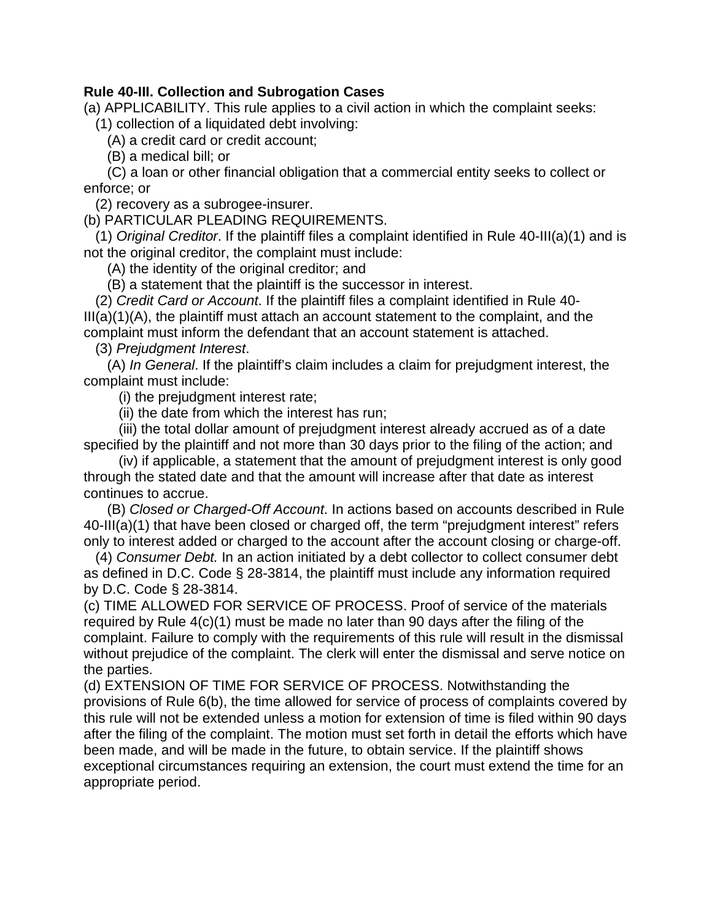## **Rule 40-III. Collection and Subrogation Cases**

(a) APPLICABILITY. This rule applies to a civil action in which the complaint seeks:

(1) collection of a liquidated debt involving:

(A) a credit card or credit account;

(B) a medical bill; or

(C) a loan or other financial obligation that a commercial entity seeks to collect or enforce; or

(2) recovery as a subrogee-insurer.

(b) PARTICULAR PLEADING REQUIREMENTS.

(1) *Original Creditor*. If the plaintiff files a complaint identified in Rule 40-III(a)(1) and is not the original creditor, the complaint must include:

(A) the identity of the original creditor; and

(B) a statement that the plaintiff is the successor in interest.

 complaint must inform the defendant that an account statement is attached. (2) *Credit Card or Account*. If the plaintiff files a complaint identified in Rule 40-  $III(a)(1)(A)$ , the plaintiff must attach an account statement to the complaint, and the

(3) *Prejudgment Interest*.

(A) *In General*. If the plaintiff's claim includes a claim for prejudgment interest, the complaint must include:

(i) the prejudgment interest rate;

(ii) the date from which the interest has run;

(iii) the total dollar amount of prejudgment interest already accrued as of a date specified by the plaintiff and not more than 30 days prior to the filing of the action; and

 through the stated date and that the amount will increase after that date as interest continues to accrue. (iv) if applicable, a statement that the amount of prejudgment interest is only good

 only to interest added or charged to the account after the account closing or charge-off. (B) *Closed or Charged-Off Account*. In actions based on accounts described in Rule 40-III(a)(1) that have been closed or charged off, the term "prejudgment interest" refers

(4) *Consumer Debt.* In an action initiated by a debt collector to collect consumer debt as defined in D.C. Code § 28-3814, the plaintiff must include any information required by D.C. Code § 28-3814.

 (c) TIME ALLOWED FOR SERVICE OF PROCESS. Proof of service of the materials required by Rule 4(c)(1) must be made no later than 90 days after the filing of the complaint. Failure to comply with the requirements of this rule will result in the dismissal without prejudice of the complaint. The clerk will enter the dismissal and serve notice on the parties.

 provisions of Rule 6(b), the time allowed for service of process of complaints covered by (d) EXTENSION OF TIME FOR SERVICE OF PROCESS. Notwithstanding the this rule will not be extended unless a motion for extension of time is filed within 90 days after the filing of the complaint. The motion must set forth in detail the efforts which have been made, and will be made in the future, to obtain service. If the plaintiff shows exceptional circumstances requiring an extension, the court must extend the time for an appropriate period.